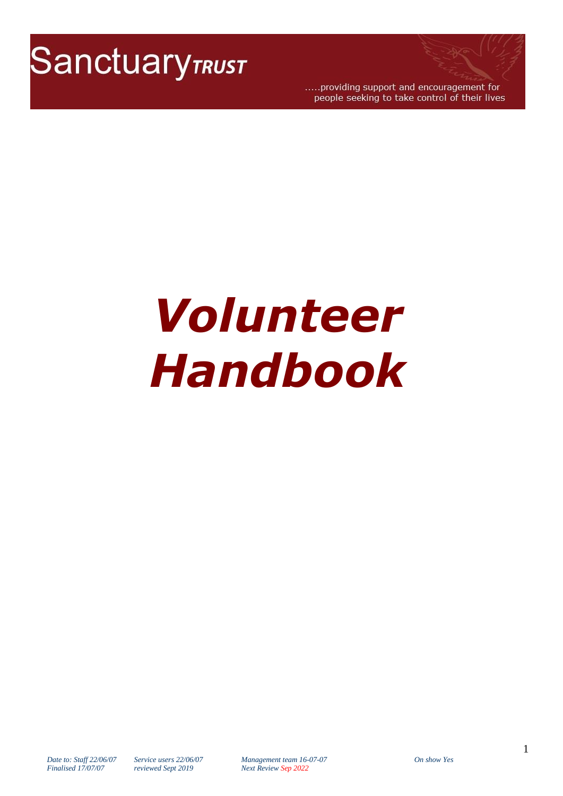

.....providing support and encouragement for people seeking to take control of their lives

# *Volunteer Handbook*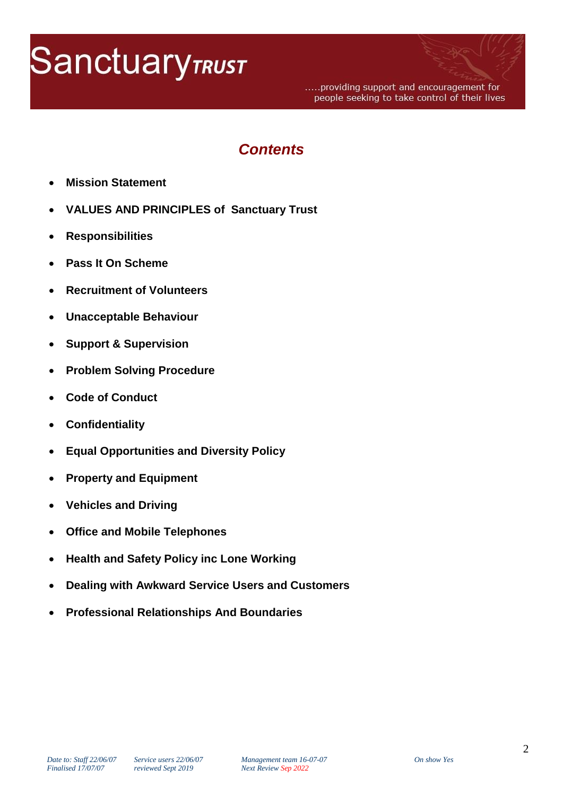# **Sanctuary TRUST**

.....providing support and encouragement for people seeking to take control of their lives

# *Contents*

- **Mission Statement**
- **VALUES AND PRINCIPLES of Sanctuary Trust**
- **Responsibilities**
- **Pass It On Scheme**
- **Recruitment of Volunteers**
- **Unacceptable Behaviour**
- **Support & Supervision**
- **Problem Solving Procedure**
- **Code of Conduct**
- **Confidentiality**
- **Equal Opportunities and Diversity Policy**
- **Property and Equipment**
- **Vehicles and Driving**
- **Office and Mobile Telephones**
- **Health and Safety Policy inc Lone Working**
- **Dealing with Awkward Service Users and Customers**
- **Professional Relationships And Boundaries**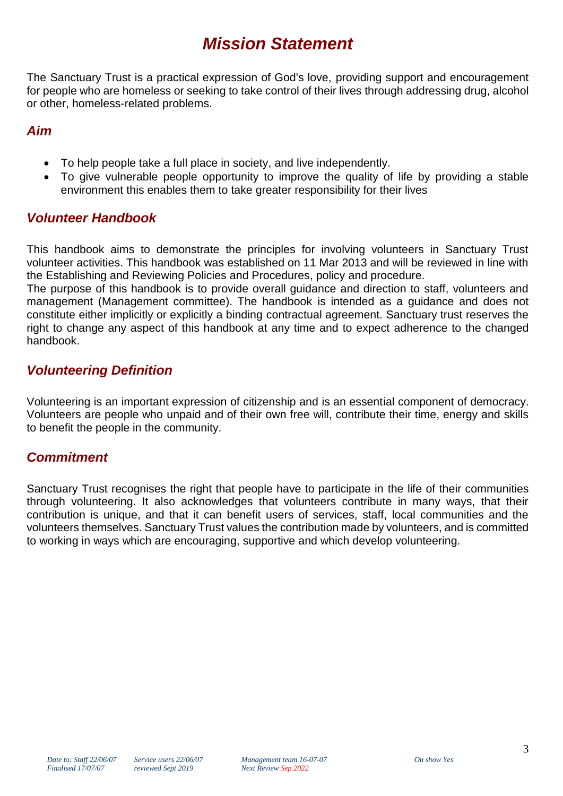# *Mission Statement*

The Sanctuary Trust is a practical expression of God's love, providing support and encouragement for people who are homeless or seeking to take control of their lives through addressing drug, alcohol or other, homeless-related problems.

# *Aim*

- To help people take a full place in society, and live independently.
- To give vulnerable people opportunity to improve the quality of life by providing a stable environment this enables them to take greater responsibility for their lives

# *Volunteer Handbook*

This handbook aims to demonstrate the principles for involving volunteers in Sanctuary Trust volunteer activities. This handbook was established on 11 Mar 2013 and will be reviewed in line with the Establishing and Reviewing Policies and Procedures, policy and procedure.

The purpose of this handbook is to provide overall guidance and direction to staff, volunteers and management (Management committee). The handbook is intended as a guidance and does not constitute either implicitly or explicitly a binding contractual agreement. Sanctuary trust reserves the right to change any aspect of this handbook at any time and to expect adherence to the changed handbook.

# *Volunteering Definition*

Volunteering is an important expression of citizenship and is an essential component of democracy. Volunteers are people who unpaid and of their own free will, contribute their time, energy and skills to benefit the people in the community.

# *Commitment*

Sanctuary Trust recognises the right that people have to participate in the life of their communities through volunteering. It also acknowledges that volunteers contribute in many ways, that their contribution is unique, and that it can benefit users of services, staff, local communities and the volunteers themselves. Sanctuary Trust values the contribution made by volunteers, and is committed to working in ways which are encouraging, supportive and which develop volunteering.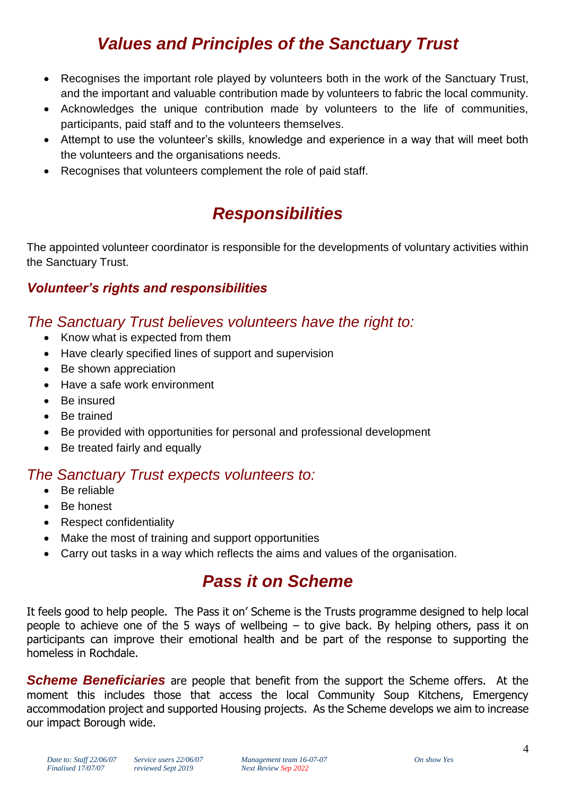# *Values and Principles of the Sanctuary Trust*

- Recognises the important role played by volunteers both in the work of the Sanctuary Trust, and the important and valuable contribution made by volunteers to fabric the local community.
- Acknowledges the unique contribution made by volunteers to the life of communities, participants, paid staff and to the volunteers themselves.
- Attempt to use the volunteer's skills, knowledge and experience in a way that will meet both the volunteers and the organisations needs.
- Recognises that volunteers complement the role of paid staff.

# *Responsibilities*

The appointed volunteer coordinator is responsible for the developments of voluntary activities within the Sanctuary Trust.

# *Volunteer's rights and responsibilities*

# *The Sanctuary Trust believes volunteers have the right to:*

- Know what is expected from them
- Have clearly specified lines of support and supervision
- Be shown appreciation
- Have a safe work environment
- Be insured
- Be trained
- Be provided with opportunities for personal and professional development
- Be treated fairly and equally

# *The Sanctuary Trust expects volunteers to:*

- Be reliable
- Be honest
- Respect confidentiality
- Make the most of training and support opportunities
- Carry out tasks in a way which reflects the aims and values of the organisation.

# *Pass it on Scheme*

It feels good to help people. The Pass it on' Scheme is the Trusts programme designed to help local people to achieve one of the 5 ways of wellbeing  $-$  to give back. By helping others, pass it on participants can improve their emotional health and be part of the response to supporting the homeless in Rochdale.

**Scheme Beneficiaries** are people that benefit from the support the Scheme offers. At the moment this includes those that access the local Community Soup Kitchens, Emergency accommodation project and supported Housing projects. As the Scheme develops we aim to increase our impact Borough wide.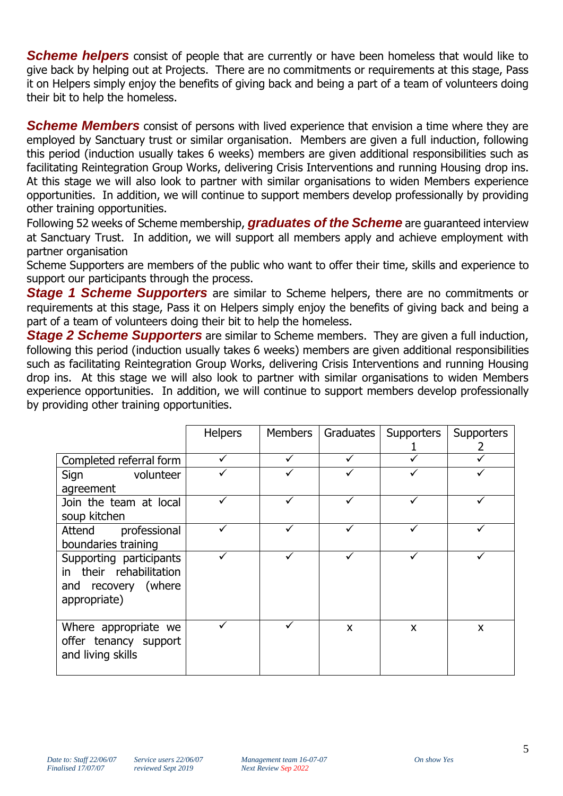**Scheme helpers** consist of people that are currently or have been homeless that would like to give back by helping out at Projects. There are no commitments or requirements at this stage, Pass it on Helpers simply enjoy the benefits of giving back and being a part of a team of volunteers doing their bit to help the homeless.

**Scheme Members** consist of persons with lived experience that envision a time where they are employed by Sanctuary trust or similar organisation. Members are given a full induction, following this period (induction usually takes 6 weeks) members are given additional responsibilities such as facilitating Reintegration Group Works, delivering Crisis Interventions and running Housing drop ins. At this stage we will also look to partner with similar organisations to widen Members experience opportunities. In addition, we will continue to support members develop professionally by providing other training opportunities.

Following 52 weeks of Scheme membership, *graduates of the Scheme* are guaranteed interview at Sanctuary Trust. In addition, we will support all members apply and achieve employment with partner organisation

Scheme Supporters are members of the public who want to offer their time, skills and experience to support our participants through the process.

*Stage 1 Scheme Supporters* are similar to Scheme helpers, there are no commitments or requirements at this stage, Pass it on Helpers simply enjoy the benefits of giving back and being a part of a team of volunteers doing their bit to help the homeless.

*Stage 2 Scheme Supporters* are similar to Scheme members. They are given a full induction, following this period (induction usually takes 6 weeks) members are given additional responsibilities such as facilitating Reintegration Group Works, delivering Crisis Interventions and running Housing drop ins. At this stage we will also look to partner with similar organisations to widen Members experience opportunities. In addition, we will continue to support members develop professionally by providing other training opportunities.

|                         | <b>Helpers</b> | Members | Graduates | <b>Supporters</b> | <b>Supporters</b> |  |
|-------------------------|----------------|---------|-----------|-------------------|-------------------|--|
|                         |                |         |           |                   |                   |  |
| Completed referral form |                |         |           |                   |                   |  |
| volunteer<br>Sign       |                |         |           |                   |                   |  |
| agreement               |                |         |           |                   |                   |  |
| Join the team at local  |                |         |           |                   |                   |  |
| soup kitchen            |                |         |           |                   |                   |  |
| Attend professional     |                |         |           |                   |                   |  |
| boundaries training     |                |         |           |                   |                   |  |
| Supporting participants |                |         |           |                   |                   |  |
| in their rehabilitation |                |         |           |                   |                   |  |
| and recovery (where     |                |         |           |                   |                   |  |
| appropriate)            |                |         |           |                   |                   |  |
|                         |                |         |           |                   |                   |  |
| Where appropriate we    |                |         | X         | X                 | X                 |  |
| offer tenancy support   |                |         |           |                   |                   |  |
| and living skills       |                |         |           |                   |                   |  |
|                         |                |         |           |                   |                   |  |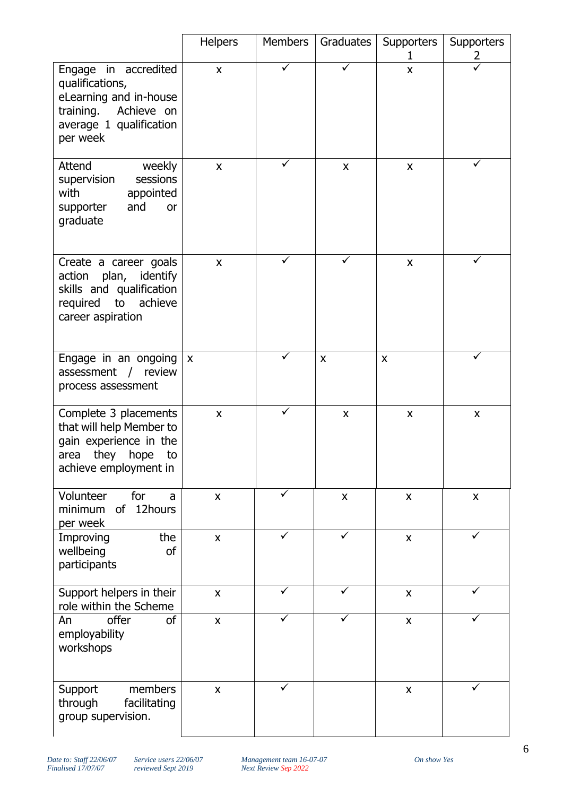|                                                                                                                                  | <b>Helpers</b>            | <b>Members</b> | Graduates                 | Supporters<br>1    | <b>Supporters</b><br>2 |
|----------------------------------------------------------------------------------------------------------------------------------|---------------------------|----------------|---------------------------|--------------------|------------------------|
| Engage in accredited<br>qualifications,<br>eLearning and in-house<br>training. Achieve on<br>average 1 qualification<br>per week | $\mathsf{x}$              |                |                           | $\mathsf{x}$       |                        |
| Attend<br>weekly<br>sessions<br>supervision<br>with<br>appointed<br>and<br>supporter<br>or<br>graduate                           | $\boldsymbol{\mathsf{X}}$ |                | X                         | $\mathsf{x}$       |                        |
| Create a career goals<br>action plan, identify<br>skills and qualification<br>achieve<br>required to<br>career aspiration        | $\mathsf{x}$              |                |                           | $\mathsf{x}$       |                        |
| Engage in an ongoing<br>assessment / review<br>process assessment                                                                | $\pmb{\chi}$              |                | $\boldsymbol{\mathsf{x}}$ | $\pmb{\times}$     |                        |
| Complete 3 placements<br>that will help Member to<br>gain experience in the<br>area they hope<br>to<br>achieve employment in     | X                         | ✓              | $\pmb{\times}$            | $\pmb{\times}$     | X                      |
| Volunteer<br>for<br>a<br>12hours<br>minimum<br><b>of</b><br>per week                                                             | $\mathsf{x}$              | ✓              | $\mathsf{x}$              | $\pmb{\times}$     | $\mathsf{X}$           |
| the<br>Improving<br>wellbeing<br><b>of</b><br>participants                                                                       | X                         | ✓              | $\checkmark$              | $\pmb{\mathsf{X}}$ | ✓                      |
| Support helpers in their<br>role within the Scheme                                                                               | $\mathsf{x}$              | ✓              |                           | $\pmb{\mathsf{X}}$ |                        |
| <sub>of</sub><br>offer<br>An<br>employability<br>workshops                                                                       | $\mathsf{X}$              | $\checkmark$   | $\checkmark$              | $\pmb{\mathsf{X}}$ | ✓                      |
| members<br>Support<br>facilitating<br>through<br>group supervision.                                                              | $\mathsf{\overline{X}}$   | ✓              |                           | $\mathsf{X}$       | ✓                      |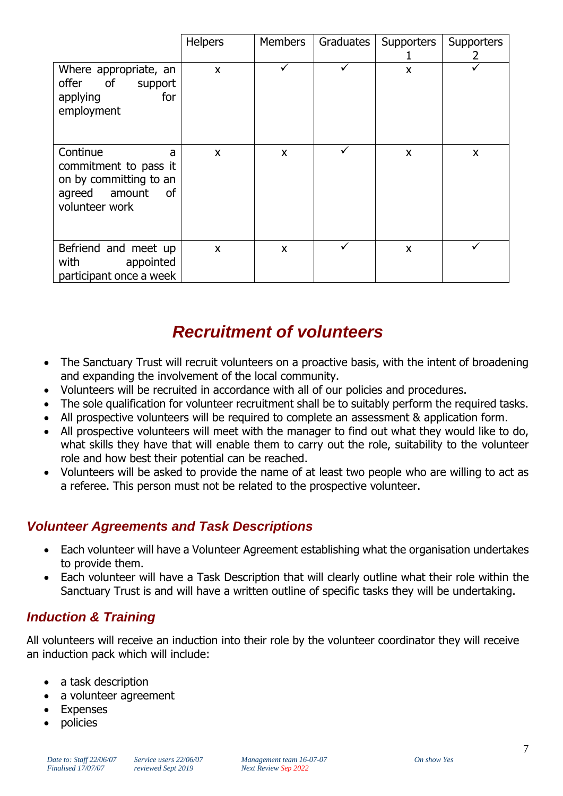|                                                                                                           | Helpers                   | Members | Graduates | Supporters | Supporters<br>2 |
|-----------------------------------------------------------------------------------------------------------|---------------------------|---------|-----------|------------|-----------------|
| Where appropriate, an<br>offer of<br>support<br>applying<br>for<br>employment                             | $\mathsf{x}$              | ✓       |           | X          |                 |
| Continue<br>a<br>commitment to pass it<br>on by committing to an<br>agreed amount<br>of<br>volunteer work | $\mathsf{x}$              | X       |           | X          | X               |
| Befriend and meet up<br>with<br>appointed<br>participant once a week                                      | $\boldsymbol{\mathsf{X}}$ | X       |           | X          |                 |

# *Recruitment of volunteers*

- The Sanctuary Trust will recruit volunteers on a proactive basis, with the intent of broadening and expanding the involvement of the local community.
- Volunteers will be recruited in accordance with all of our policies and procedures.
- The sole qualification for volunteer recruitment shall be to suitably perform the required tasks.
- All prospective volunteers will be required to complete an assessment & application form.
- All prospective volunteers will meet with the manager to find out what they would like to do, what skills they have that will enable them to carry out the role, suitability to the volunteer role and how best their potential can be reached.
- Volunteers will be asked to provide the name of at least two people who are willing to act as a referee. This person must not be related to the prospective volunteer.

# *Volunteer Agreements and Task Descriptions*

- Each volunteer will have a Volunteer Agreement establishing what the organisation undertakes to provide them.
- Each volunteer will have a Task Description that will clearly outline what their role within the Sanctuary Trust is and will have a written outline of specific tasks they will be undertaking.

# *Induction & Training*

All volunteers will receive an induction into their role by the volunteer coordinator they will receive an induction pack which will include:

- a task description
- a volunteer agreement
- Expenses
	- policies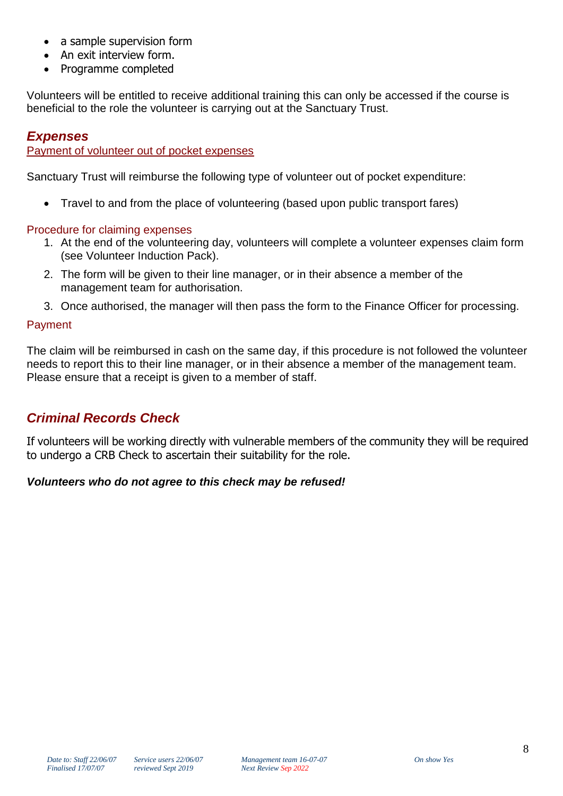- a sample supervision form
- An exit interview form.
- Programme completed

Volunteers will be entitled to receive additional training this can only be accessed if the course is beneficial to the role the volunteer is carrying out at the Sanctuary Trust.

# *Expenses*

Payment of volunteer out of pocket expenses

Sanctuary Trust will reimburse the following type of volunteer out of pocket expenditure:

• Travel to and from the place of volunteering (based upon public transport fares)

#### Procedure for claiming expenses

- 1. At the end of the volunteering day, volunteers will complete a volunteer expenses claim form (see Volunteer Induction Pack).
- 2. The form will be given to their line manager, or in their absence a member of the management team for authorisation.
- 3. Once authorised, the manager will then pass the form to the Finance Officer for processing.

#### Payment

The claim will be reimbursed in cash on the same day, if this procedure is not followed the volunteer needs to report this to their line manager, or in their absence a member of the management team. Please ensure that a receipt is given to a member of staff.

# *Criminal Records Check*

If volunteers will be working directly with vulnerable members of the community they will be required to undergo a CRB Check to ascertain their suitability for the role.

#### *Volunteers who do not agree to this check may be refused!*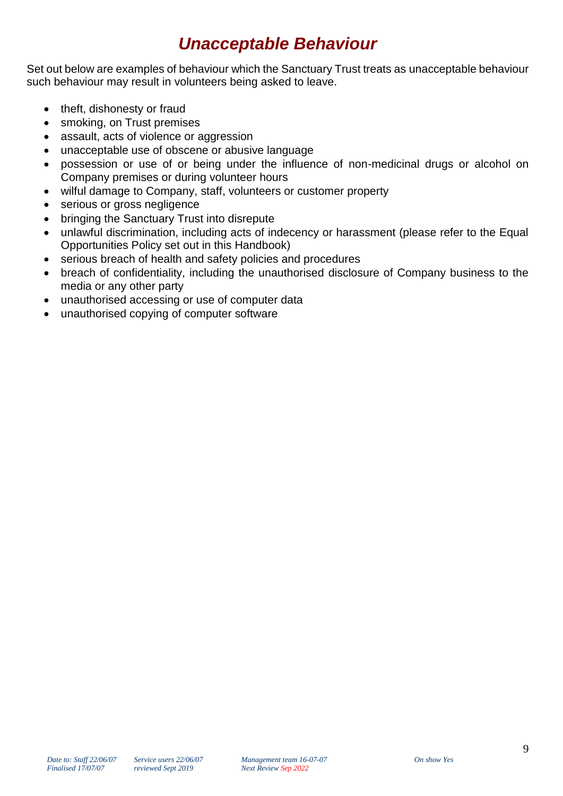# *Unacceptable Behaviour*

Set out below are examples of behaviour which the Sanctuary Trust treats as unacceptable behaviour such behaviour may result in volunteers being asked to leave.

- theft, dishonesty or fraud
- smoking, on Trust premises
- assault, acts of violence or aggression
- unacceptable use of obscene or abusive language
- possession or use of or being under the influence of non-medicinal drugs or alcohol on Company premises or during volunteer hours
- wilful damage to Company, staff, volunteers or customer property
- serious or gross negligence
- bringing the Sanctuary Trust into disrepute
- unlawful discrimination, including acts of indecency or harassment (please refer to the Equal Opportunities Policy set out in this Handbook)
- serious breach of health and safety policies and procedures
- breach of confidentiality, including the unauthorised disclosure of Company business to the media or any other party
- unauthorised accessing or use of computer data
- unauthorised copying of computer software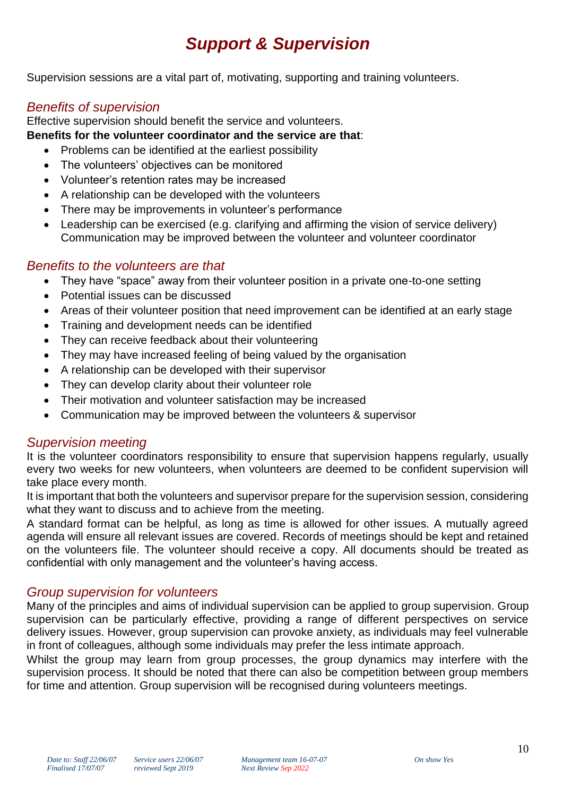# *Support & Supervision*

Supervision sessions are a vital part of, motivating, supporting and training volunteers.

# *Benefits of supervision*

Effective supervision should benefit the service and volunteers.

#### **Benefits for the volunteer coordinator and the service are that**:

- Problems can be identified at the earliest possibility
- The volunteers' objectives can be monitored
- Volunteer's retention rates may be increased
- A relationship can be developed with the volunteers
- There may be improvements in volunteer's performance
- Leadership can be exercised (e.g. clarifying and affirming the vision of service delivery) Communication may be improved between the volunteer and volunteer coordinator

#### *Benefits to the volunteers are that*

- They have "space" away from their volunteer position in a private one-to-one setting
- Potential issues can be discussed
- Areas of their volunteer position that need improvement can be identified at an early stage
- Training and development needs can be identified
- They can receive feedback about their volunteering
- They may have increased feeling of being valued by the organisation
- A relationship can be developed with their supervisor
- They can develop clarity about their volunteer role
- Their motivation and volunteer satisfaction may be increased
- Communication may be improved between the volunteers & supervisor

# *Supervision meeting*

It is the volunteer coordinators responsibility to ensure that supervision happens regularly, usually every two weeks for new volunteers, when volunteers are deemed to be confident supervision will take place every month.

It is important that both the volunteers and supervisor prepare for the supervision session, considering what they want to discuss and to achieve from the meeting.

A standard format can be helpful, as long as time is allowed for other issues. A mutually agreed agenda will ensure all relevant issues are covered. Records of meetings should be kept and retained on the volunteers file. The volunteer should receive a copy. All documents should be treated as confidential with only management and the volunteer's having access.

# *Group supervision for volunteers*

Many of the principles and aims of individual supervision can be applied to group supervision. Group supervision can be particularly effective, providing a range of different perspectives on service delivery issues. However, group supervision can provoke anxiety, as individuals may feel vulnerable in front of colleagues, although some individuals may prefer the less intimate approach.

Whilst the group may learn from group processes, the group dynamics may interfere with the supervision process. It should be noted that there can also be competition between group members for time and attention. Group supervision will be recognised during volunteers meetings.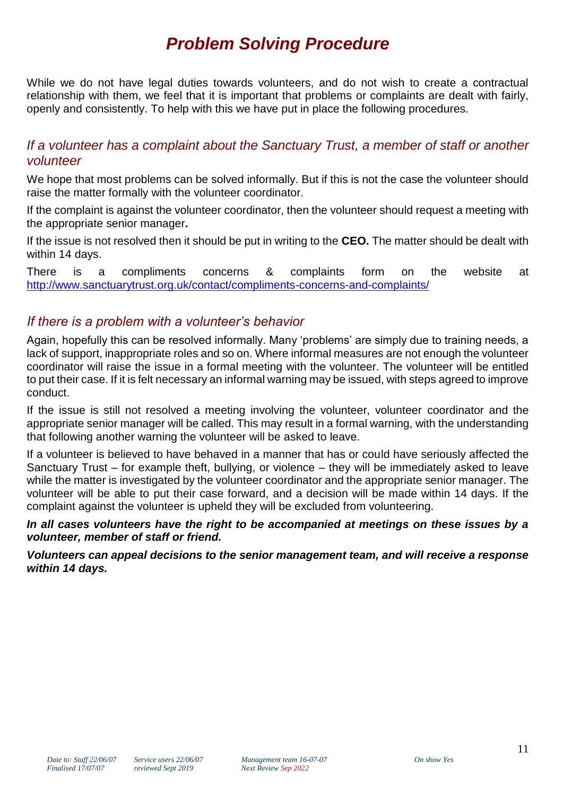# *Problem Solving Procedure*

While we do not have legal duties towards volunteers, and do not wish to create a contractual relationship with them, we feel that it is important that problems or complaints are dealt with fairly, openly and consistently. To help with this we have put in place the following procedures.

# *If a volunteer has a complaint about the Sanctuary Trust, a member of staff or another volunteer*

We hope that most problems can be solved informally. But if this is not the case the volunteer should raise the matter formally with the volunteer coordinator.

If the complaint is against the volunteer coordinator, then the volunteer should request a meeting with the appropriate senior manager**.**

If the issue is not resolved then it should be put in writing to the **CEO.** The matter should be dealt with within 14 days.

There is a compliments concerns & complaints form on the website at <http://www.sanctuarytrust.org.uk/contact/compliments-concerns-and-complaints/>

# *If there is a problem with a volunteer's behavior*

Again, hopefully this can be resolved informally. Many 'problems' are simply due to training needs, a lack of support, inappropriate roles and so on. Where informal measures are not enough the volunteer coordinator will raise the issue in a formal meeting with the volunteer. The volunteer will be entitled to put their case. If it is felt necessary an informal warning may be issued, with steps agreed to improve conduct.

If the issue is still not resolved a meeting involving the volunteer, volunteer coordinator and the appropriate senior manager will be called. This may result in a formal warning, with the understanding that following another warning the volunteer will be asked to leave.

If a volunteer is believed to have behaved in a manner that has or could have seriously affected the Sanctuary Trust – for example theft, bullying, or violence – they will be immediately asked to leave while the matter is investigated by the volunteer coordinator and the appropriate senior manager. The volunteer will be able to put their case forward, and a decision will be made within 14 days. If the complaint against the volunteer is upheld they will be excluded from volunteering.

*In all cases volunteers have the right to be accompanied at meetings on these issues by a volunteer, member of staff or friend.*

*Volunteers can appeal decisions to the senior management team, and will receive a response within 14 days.*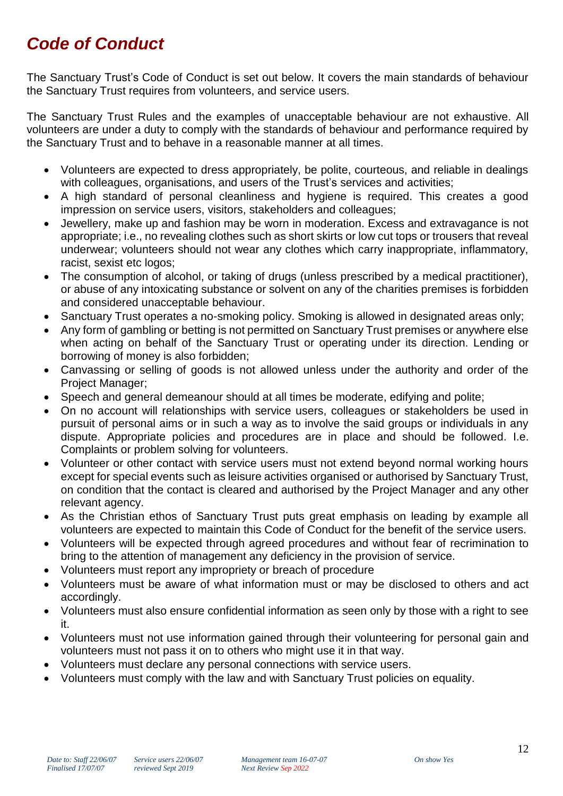# *Code of Conduct*

The Sanctuary Trust's Code of Conduct is set out below. It covers the main standards of behaviour the Sanctuary Trust requires from volunteers, and service users.

The Sanctuary Trust Rules and the examples of unacceptable behaviour are not exhaustive. All volunteers are under a duty to comply with the standards of behaviour and performance required by the Sanctuary Trust and to behave in a reasonable manner at all times.

- Volunteers are expected to dress appropriately, be polite, courteous, and reliable in dealings with colleagues, organisations, and users of the Trust's services and activities;
- A high standard of personal cleanliness and hygiene is required. This creates a good impression on service users, visitors, stakeholders and colleagues;
- Jewellery, make up and fashion may be worn in moderation. Excess and extravagance is not appropriate; i.e., no revealing clothes such as short skirts or low cut tops or trousers that reveal underwear; volunteers should not wear any clothes which carry inappropriate, inflammatory, racist, sexist etc logos;
- The consumption of alcohol, or taking of drugs (unless prescribed by a medical practitioner), or abuse of any intoxicating substance or solvent on any of the charities premises is forbidden and considered unacceptable behaviour.
- Sanctuary Trust operates a no-smoking policy. Smoking is allowed in designated areas only;
- Any form of gambling or betting is not permitted on Sanctuary Trust premises or anywhere else when acting on behalf of the Sanctuary Trust or operating under its direction. Lending or borrowing of money is also forbidden;
- Canvassing or selling of goods is not allowed unless under the authority and order of the Project Manager;
- Speech and general demeanour should at all times be moderate, edifying and polite;
- On no account will relationships with service users, colleagues or stakeholders be used in pursuit of personal aims or in such a way as to involve the said groups or individuals in any dispute. Appropriate policies and procedures are in place and should be followed. I.e. Complaints or problem solving for volunteers.
- Volunteer or other contact with service users must not extend beyond normal working hours except for special events such as leisure activities organised or authorised by Sanctuary Trust, on condition that the contact is cleared and authorised by the Project Manager and any other relevant agency.
- As the Christian ethos of Sanctuary Trust puts great emphasis on leading by example all volunteers are expected to maintain this Code of Conduct for the benefit of the service users.
- Volunteers will be expected through agreed procedures and without fear of recrimination to bring to the attention of management any deficiency in the provision of service.
- Volunteers must report any impropriety or breach of procedure
- Volunteers must be aware of what information must or may be disclosed to others and act accordingly.
- Volunteers must also ensure confidential information as seen only by those with a right to see it.
- Volunteers must not use information gained through their volunteering for personal gain and volunteers must not pass it on to others who might use it in that way.
- Volunteers must declare any personal connections with service users.
- Volunteers must comply with the law and with Sanctuary Trust policies on equality.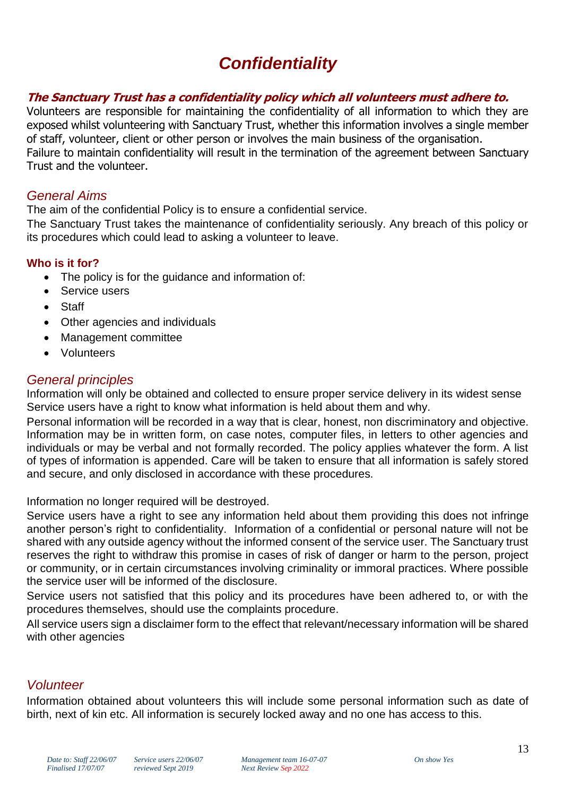# *Confidentiality*

#### **The Sanctuary Trust has a confidentiality policy which all volunteers must adhere to.**

Volunteers are responsible for maintaining the confidentiality of all information to which they are exposed whilst volunteering with Sanctuary Trust, whether this information involves a single member of staff, volunteer, client or other person or involves the main business of the organisation. Failure to maintain confidentiality will result in the termination of the agreement between Sanctuary Trust and the volunteer.

#### *General Aims*

The aim of the confidential Policy is to ensure a confidential service.

The Sanctuary Trust takes the maintenance of confidentiality seriously. Any breach of this policy or its procedures which could lead to asking a volunteer to leave.

#### **Who is it for?**

- The policy is for the guidance and information of:
- Service users
- Staff
- Other agencies and individuals
- Management committee
- Volunteers

# *General principles*

Information will only be obtained and collected to ensure proper service delivery in its widest sense Service users have a right to know what information is held about them and why.

Personal information will be recorded in a way that is clear, honest, non discriminatory and objective. Information may be in written form, on case notes, computer files, in letters to other agencies and individuals or may be verbal and not formally recorded. The policy applies whatever the form. A list of types of information is appended. Care will be taken to ensure that all information is safely stored and secure, and only disclosed in accordance with these procedures.

Information no longer required will be destroyed.

Service users have a right to see any information held about them providing this does not infringe another person's right to confidentiality. Information of a confidential or personal nature will not be shared with any outside agency without the informed consent of the service user. The Sanctuary trust reserves the right to withdraw this promise in cases of risk of danger or harm to the person, project or community, or in certain circumstances involving criminality or immoral practices. Where possible the service user will be informed of the disclosure.

Service users not satisfied that this policy and its procedures have been adhered to, or with the procedures themselves, should use the complaints procedure.

All service users sign a disclaimer form to the effect that relevant/necessary information will be shared with other agencies

# *Volunteer*

Information obtained about volunteers this will include some personal information such as date of birth, next of kin etc. All information is securely locked away and no one has access to this.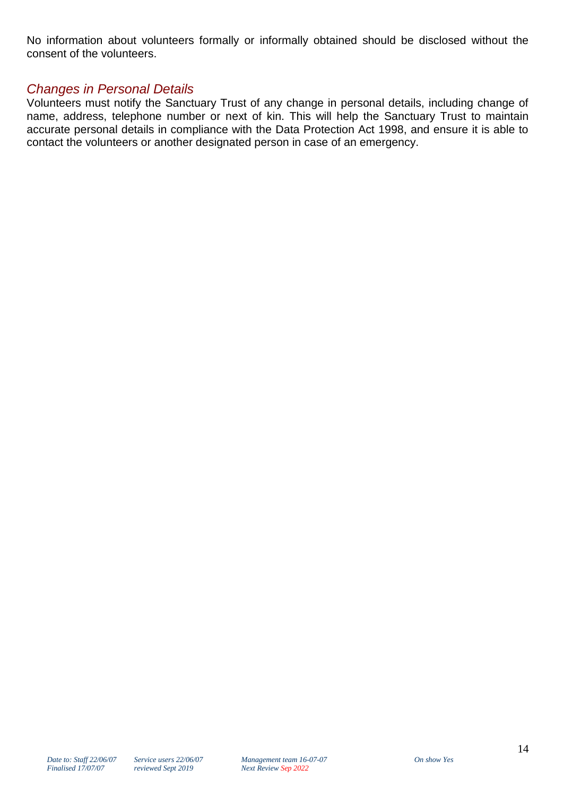No information about volunteers formally or informally obtained should be disclosed without the consent of the volunteers.

# *Changes in Personal Details*

Volunteers must notify the Sanctuary Trust of any change in personal details, including change of name, address, telephone number or next of kin. This will help the Sanctuary Trust to maintain accurate personal details in compliance with the Data Protection Act 1998, and ensure it is able to contact the volunteers or another designated person in case of an emergency.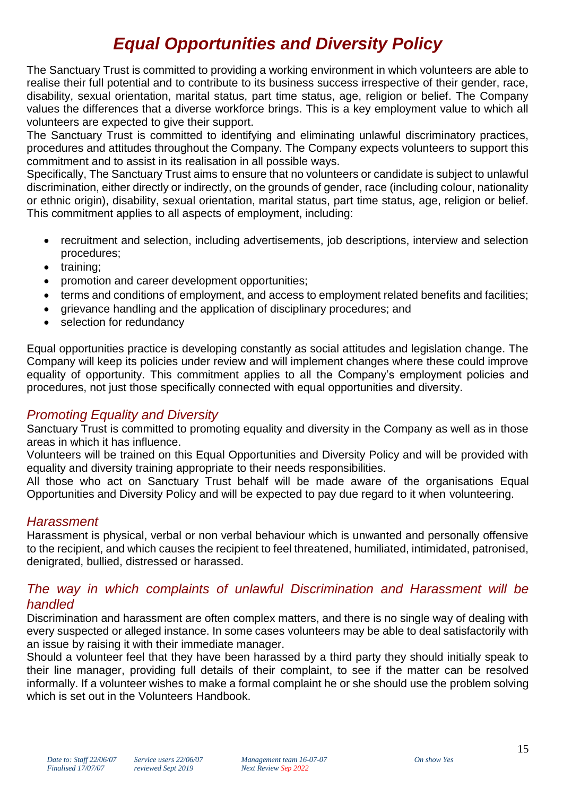# *Equal Opportunities and Diversity Policy*

The Sanctuary Trust is committed to providing a working environment in which volunteers are able to realise their full potential and to contribute to its business success irrespective of their gender, race, disability, sexual orientation, marital status, part time status, age, religion or belief. The Company values the differences that a diverse workforce brings. This is a key employment value to which all volunteers are expected to give their support.

The Sanctuary Trust is committed to identifying and eliminating unlawful discriminatory practices, procedures and attitudes throughout the Company. The Company expects volunteers to support this commitment and to assist in its realisation in all possible ways.

Specifically, The Sanctuary Trust aims to ensure that no volunteers or candidate is subject to unlawful discrimination, either directly or indirectly, on the grounds of gender, race (including colour, nationality or ethnic origin), disability, sexual orientation, marital status, part time status, age, religion or belief. This commitment applies to all aspects of employment, including:

- recruitment and selection, including advertisements, job descriptions, interview and selection procedures;
- training:
- promotion and career development opportunities;
- terms and conditions of employment, and access to employment related benefits and facilities;
- grievance handling and the application of disciplinary procedures; and
- selection for redundancy

Equal opportunities practice is developing constantly as social attitudes and legislation change. The Company will keep its policies under review and will implement changes where these could improve equality of opportunity. This commitment applies to all the Company's employment policies and procedures, not just those specifically connected with equal opportunities and diversity.

# *Promoting Equality and Diversity*

Sanctuary Trust is committed to promoting equality and diversity in the Company as well as in those areas in which it has influence.

Volunteers will be trained on this Equal Opportunities and Diversity Policy and will be provided with equality and diversity training appropriate to their needs responsibilities.

All those who act on Sanctuary Trust behalf will be made aware of the organisations Equal Opportunities and Diversity Policy and will be expected to pay due regard to it when volunteering.

# *Harassment*

Harassment is physical, verbal or non verbal behaviour which is unwanted and personally offensive to the recipient, and which causes the recipient to feel threatened, humiliated, intimidated, patronised, denigrated, bullied, distressed or harassed.

#### *The way in which complaints of unlawful Discrimination and Harassment will be handled*

Discrimination and harassment are often complex matters, and there is no single way of dealing with every suspected or alleged instance. In some cases volunteers may be able to deal satisfactorily with an issue by raising it with their immediate manager.

Should a volunteer feel that they have been harassed by a third party they should initially speak to their line manager, providing full details of their complaint, to see if the matter can be resolved informally. If a volunteer wishes to make a formal complaint he or she should use the problem solving which is set out in the Volunteers Handbook.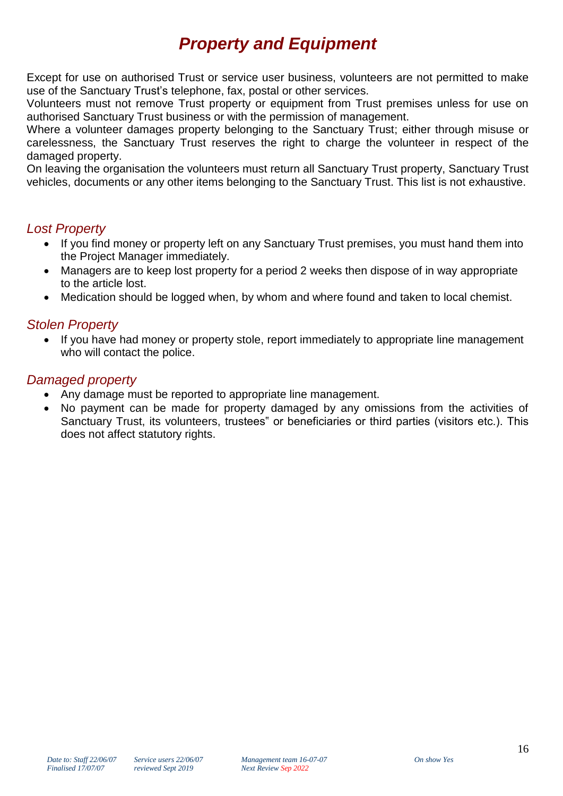# *Property and Equipment*

Except for use on authorised Trust or service user business, volunteers are not permitted to make use of the Sanctuary Trust's telephone, fax, postal or other services.

Volunteers must not remove Trust property or equipment from Trust premises unless for use on authorised Sanctuary Trust business or with the permission of management.

Where a volunteer damages property belonging to the Sanctuary Trust; either through misuse or carelessness, the Sanctuary Trust reserves the right to charge the volunteer in respect of the damaged property.

On leaving the organisation the volunteers must return all Sanctuary Trust property, Sanctuary Trust vehicles, documents or any other items belonging to the Sanctuary Trust. This list is not exhaustive.

# *Lost Property*

- If you find money or property left on any Sanctuary Trust premises, you must hand them into the Project Manager immediately.
- Managers are to keep lost property for a period 2 weeks then dispose of in way appropriate to the article lost.
- Medication should be logged when, by whom and where found and taken to local chemist.

# *Stolen Property*

 If you have had money or property stole, report immediately to appropriate line management who will contact the police.

# *Damaged property*

- Any damage must be reported to appropriate line management.
- No payment can be made for property damaged by any omissions from the activities of Sanctuary Trust, its volunteers, trustees" or beneficiaries or third parties (visitors etc.). This does not affect statutory rights.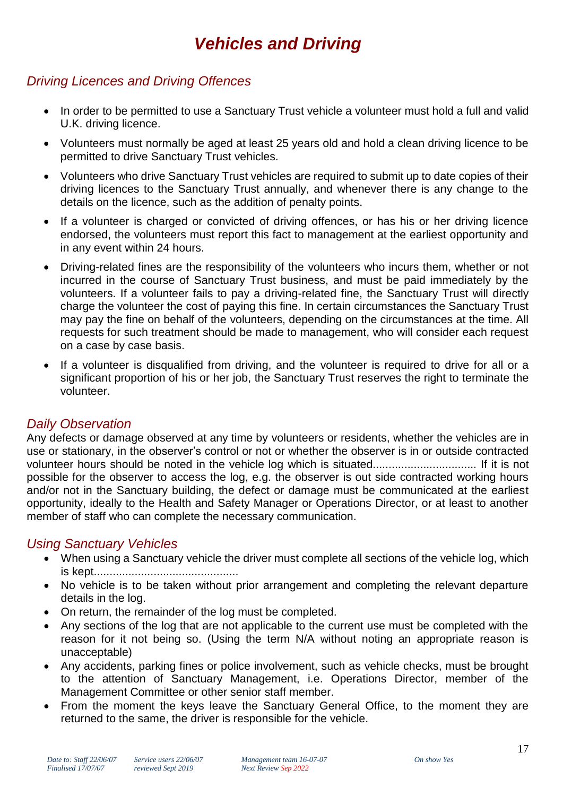# *Vehicles and Driving*

# *Driving Licences and Driving Offences*

- In order to be permitted to use a Sanctuary Trust vehicle a volunteer must hold a full and valid U.K. driving licence.
- Volunteers must normally be aged at least 25 years old and hold a clean driving licence to be permitted to drive Sanctuary Trust vehicles.
- Volunteers who drive Sanctuary Trust vehicles are required to submit up to date copies of their driving licences to the Sanctuary Trust annually, and whenever there is any change to the details on the licence, such as the addition of penalty points.
- If a volunteer is charged or convicted of driving offences, or has his or her driving licence endorsed, the volunteers must report this fact to management at the earliest opportunity and in any event within 24 hours.
- Driving-related fines are the responsibility of the volunteers who incurs them, whether or not incurred in the course of Sanctuary Trust business, and must be paid immediately by the volunteers. If a volunteer fails to pay a driving-related fine, the Sanctuary Trust will directly charge the volunteer the cost of paying this fine. In certain circumstances the Sanctuary Trust may pay the fine on behalf of the volunteers, depending on the circumstances at the time. All requests for such treatment should be made to management, who will consider each request on a case by case basis.
- If a volunteer is disqualified from driving, and the volunteer is required to drive for all or a significant proportion of his or her job, the Sanctuary Trust reserves the right to terminate the volunteer.

# *Daily Observation*

Any defects or damage observed at any time by volunteers or residents, whether the vehicles are in use or stationary, in the observer's control or not or whether the observer is in or outside contracted volunteer hours should be noted in the vehicle log which is situated................................. If it is not possible for the observer to access the log, e.g. the observer is out side contracted working hours and/or not in the Sanctuary building, the defect or damage must be communicated at the earliest opportunity, ideally to the Health and Safety Manager or Operations Director, or at least to another member of staff who can complete the necessary communication.

# *Using Sanctuary Vehicles*

- When using a Sanctuary vehicle the driver must complete all sections of the vehicle log, which is kept..............................................
- No vehicle is to be taken without prior arrangement and completing the relevant departure details in the log.
- On return, the remainder of the log must be completed.
- Any sections of the log that are not applicable to the current use must be completed with the reason for it not being so. (Using the term N/A without noting an appropriate reason is unacceptable)
- Any accidents, parking fines or police involvement, such as vehicle checks, must be brought to the attention of Sanctuary Management, i.e. Operations Director, member of the Management Committee or other senior staff member.
- From the moment the keys leave the Sanctuary General Office, to the moment they are returned to the same, the driver is responsible for the vehicle.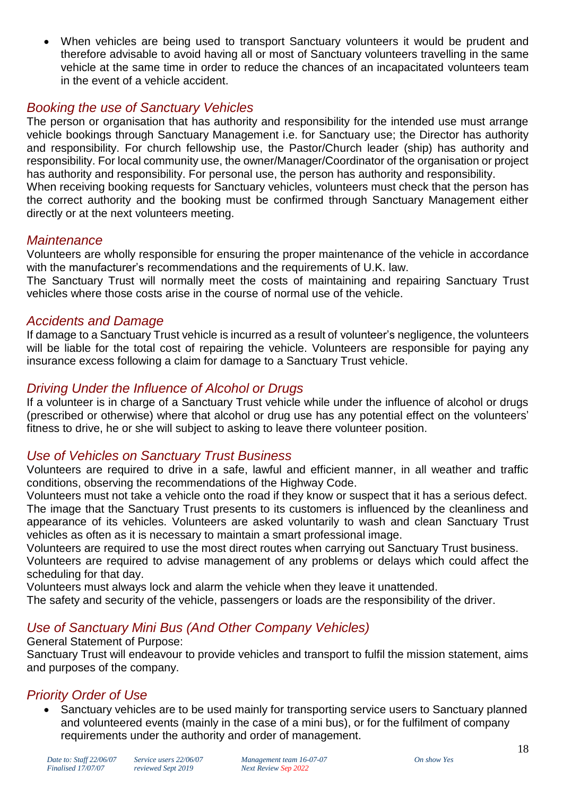When vehicles are being used to transport Sanctuary volunteers it would be prudent and therefore advisable to avoid having all or most of Sanctuary volunteers travelling in the same vehicle at the same time in order to reduce the chances of an incapacitated volunteers team in the event of a vehicle accident.

# *Booking the use of Sanctuary Vehicles*

The person or organisation that has authority and responsibility for the intended use must arrange vehicle bookings through Sanctuary Management i.e. for Sanctuary use; the Director has authority and responsibility. For church fellowship use, the Pastor/Church leader (ship) has authority and responsibility. For local community use, the owner/Manager/Coordinator of the organisation or project has authority and responsibility. For personal use, the person has authority and responsibility.

When receiving booking requests for Sanctuary vehicles, volunteers must check that the person has the correct authority and the booking must be confirmed through Sanctuary Management either directly or at the next volunteers meeting.

#### *Maintenance*

Volunteers are wholly responsible for ensuring the proper maintenance of the vehicle in accordance with the manufacturer's recommendations and the requirements of U.K. law.

The Sanctuary Trust will normally meet the costs of maintaining and repairing Sanctuary Trust vehicles where those costs arise in the course of normal use of the vehicle.

#### *Accidents and Damage*

If damage to a Sanctuary Trust vehicle is incurred as a result of volunteer's negligence, the volunteers will be liable for the total cost of repairing the vehicle. Volunteers are responsible for paying any insurance excess following a claim for damage to a Sanctuary Trust vehicle.

# *Driving Under the Influence of Alcohol or Drugs*

If a volunteer is in charge of a Sanctuary Trust vehicle while under the influence of alcohol or drugs (prescribed or otherwise) where that alcohol or drug use has any potential effect on the volunteers' fitness to drive, he or she will subject to asking to leave there volunteer position.

# *Use of Vehicles on Sanctuary Trust Business*

Volunteers are required to drive in a safe, lawful and efficient manner, in all weather and traffic conditions, observing the recommendations of the Highway Code.

Volunteers must not take a vehicle onto the road if they know or suspect that it has a serious defect. The image that the Sanctuary Trust presents to its customers is influenced by the cleanliness and appearance of its vehicles. Volunteers are asked voluntarily to wash and clean Sanctuary Trust vehicles as often as it is necessary to maintain a smart professional image.

Volunteers are required to use the most direct routes when carrying out Sanctuary Trust business. Volunteers are required to advise management of any problems or delays which could affect the scheduling for that day.

Volunteers must always lock and alarm the vehicle when they leave it unattended.

The safety and security of the vehicle, passengers or loads are the responsibility of the driver.

# *Use of Sanctuary Mini Bus (And Other Company Vehicles)*

General Statement of Purpose:

Sanctuary Trust will endeavour to provide vehicles and transport to fulfil the mission statement, aims and purposes of the company.

# *Priority Order of Use*

 Sanctuary vehicles are to be used mainly for transporting service users to Sanctuary planned and volunteered events (mainly in the case of a mini bus), or for the fulfilment of company requirements under the authority and order of management.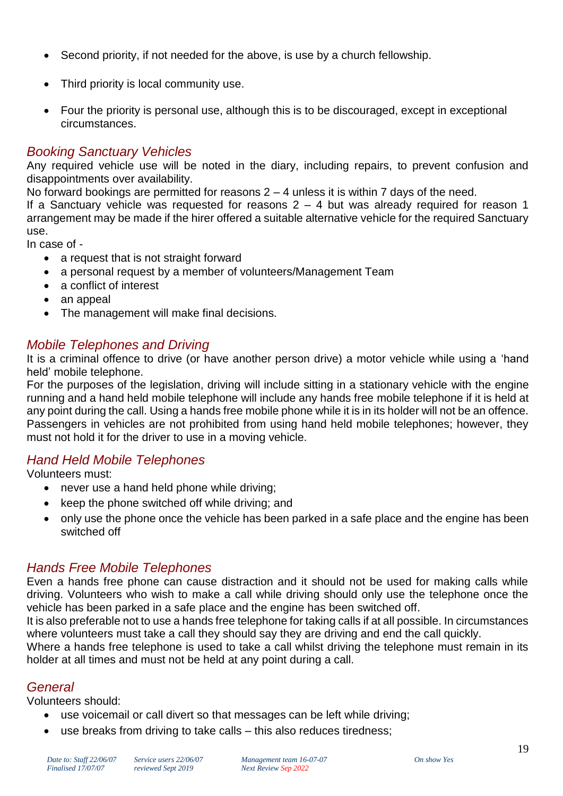- Second priority, if not needed for the above, is use by a church fellowship.
- Third priority is local community use.
- Four the priority is personal use, although this is to be discouraged, except in exceptional circumstances.

#### *Booking Sanctuary Vehicles*

Any required vehicle use will be noted in the diary, including repairs, to prevent confusion and disappointments over availability.

No forward bookings are permitted for reasons  $2 - 4$  unless it is within 7 days of the need.

If a Sanctuary vehicle was requested for reasons  $2 - 4$  but was already required for reason 1 arrangement may be made if the hirer offered a suitable alternative vehicle for the required Sanctuary use.

In case of -

- a request that is not straight forward
- a personal request by a member of volunteers/Management Team
- a conflict of interest
- an appeal
- The management will make final decisions.

# *Mobile Telephones and Driving*

It is a criminal offence to drive (or have another person drive) a motor vehicle while using a 'hand held' mobile telephone.

For the purposes of the legislation, driving will include sitting in a stationary vehicle with the engine running and a hand held mobile telephone will include any hands free mobile telephone if it is held at any point during the call. Using a hands free mobile phone while it is in its holder will not be an offence. Passengers in vehicles are not prohibited from using hand held mobile telephones; however, they must not hold it for the driver to use in a moving vehicle.

# *Hand Held Mobile Telephones*

Volunteers must:

- never use a hand held phone while driving;
- $\bullet$  keep the phone switched off while driving; and
- only use the phone once the vehicle has been parked in a safe place and the engine has been switched off

# *Hands Free Mobile Telephones*

Even a hands free phone can cause distraction and it should not be used for making calls while driving. Volunteers who wish to make a call while driving should only use the telephone once the vehicle has been parked in a safe place and the engine has been switched off.

It is also preferable not to use a hands free telephone for taking calls if at all possible. In circumstances where volunteers must take a call they should say they are driving and end the call quickly.

Where a hands free telephone is used to take a call whilst driving the telephone must remain in its holder at all times and must not be held at any point during a call.

# *General*

Volunteers should:

- use voicemail or call divert so that messages can be left while driving;
	- use breaks from driving to take calls this also reduces tiredness;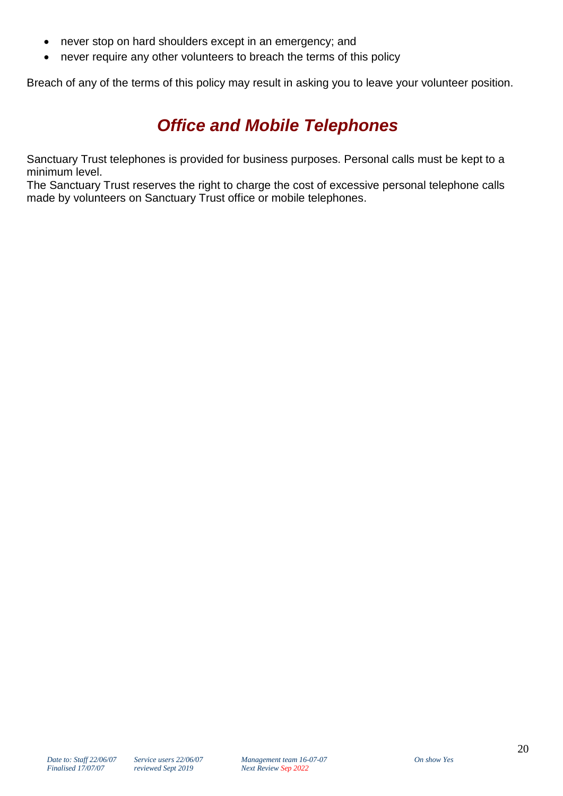- never stop on hard shoulders except in an emergency; and
- never require any other volunteers to breach the terms of this policy

Breach of any of the terms of this policy may result in asking you to leave your volunteer position.

# *Office and Mobile Telephones*

Sanctuary Trust telephones is provided for business purposes. Personal calls must be kept to a minimum level.

The Sanctuary Trust reserves the right to charge the cost of excessive personal telephone calls made by volunteers on Sanctuary Trust office or mobile telephones.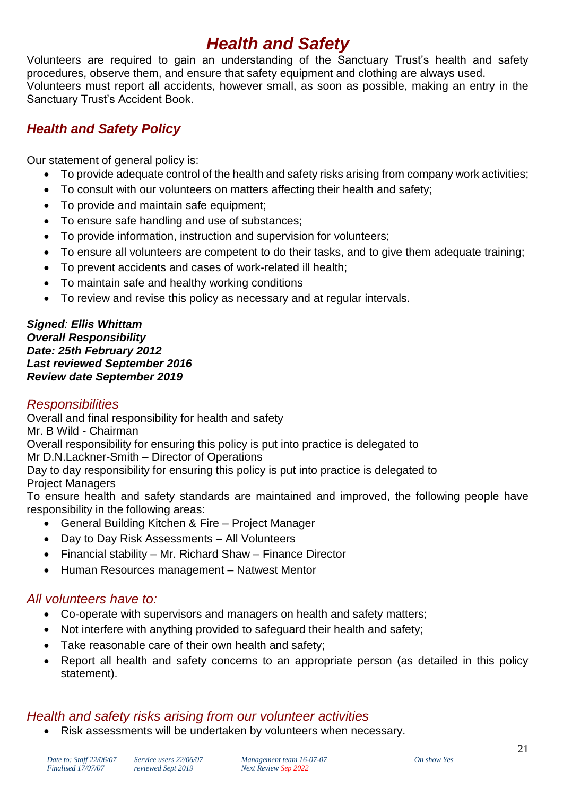# *Health and Safety*

Volunteers are required to gain an understanding of the Sanctuary Trust's health and safety procedures, observe them, and ensure that safety equipment and clothing are always used. Volunteers must report all accidents, however small, as soon as possible, making an entry in the Sanctuary Trust's Accident Book.

# *Health and Safety Policy*

Our statement of general policy is:

- To provide adequate control of the health and safety risks arising from company work activities;
- To consult with our volunteers on matters affecting their health and safety;
- To provide and maintain safe equipment;
- To ensure safe handling and use of substances;
- To provide information, instruction and supervision for volunteers;
- To ensure all volunteers are competent to do their tasks, and to give them adequate training;
- To prevent accidents and cases of work-related ill health;
- To maintain safe and healthy working conditions
- To review and revise this policy as necessary and at regular intervals.

#### *Signed: Ellis Whittam Overall Responsibility Date: 25th February 2012 Last reviewed September 2016 Review date September 2019*

# *Responsibilities*

Overall and final responsibility for health and safety

Mr. B Wild - Chairman

Overall responsibility for ensuring this policy is put into practice is delegated to

Mr D.N.Lackner-Smith – Director of Operations

Day to day responsibility for ensuring this policy is put into practice is delegated to Project Managers

To ensure health and safety standards are maintained and improved, the following people have responsibility in the following areas:

- General Building Kitchen & Fire Project Manager
- Day to Day Risk Assessments All Volunteers
- Financial stability Mr. Richard Shaw Finance Director
- Human Resources management Natwest Mentor

# *All volunteers have to:*

- Co-operate with supervisors and managers on health and safety matters;
- Not interfere with anything provided to safeguard their health and safety;
- Take reasonable care of their own health and safety;
- Report all health and safety concerns to an appropriate person (as detailed in this policy statement).

# *Health and safety risks arising from our volunteer activities*

Risk assessments will be undertaken by volunteers when necessary.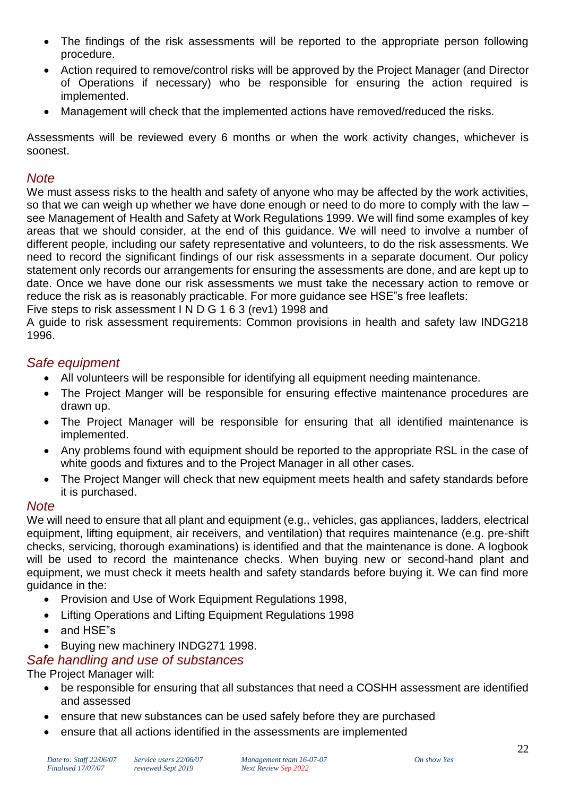- The findings of the risk assessments will be reported to the appropriate person following procedure.
- Action required to remove/control risks will be approved by the Project Manager (and Director of Operations if necessary) who be responsible for ensuring the action required is implemented.
- Management will check that the implemented actions have removed/reduced the risks.

Assessments will be reviewed every 6 months or when the work activity changes, whichever is soonest.

# *Note*

We must assess risks to the health and safety of anyone who may be affected by the work activities, so that we can weigh up whether we have done enough or need to do more to comply with the law – see Management of Health and Safety at Work Regulations 1999. We will find some examples of key areas that we should consider, at the end of this guidance. We will need to involve a number of different people, including our safety representative and volunteers, to do the risk assessments. We need to record the significant findings of our risk assessments in a separate document. Our policy statement only records our arrangements for ensuring the assessments are done, and are kept up to date. Once we have done our risk assessments we must take the necessary action to remove or reduce the risk as is reasonably practicable. For more guidance see HSE"s free leaflets: Five steps to risk assessment I N D G 1 6 3 (rev1) 1998 and

A guide to risk assessment requirements: Common provisions in health and safety law INDG218 1996.

#### *Safe equipment*

- All volunteers will be responsible for identifying all equipment needing maintenance.
- The Project Manger will be responsible for ensuring effective maintenance procedures are drawn up.
- The Project Manager will be responsible for ensuring that all identified maintenance is implemented.
- Any problems found with equipment should be reported to the appropriate RSL in the case of white goods and fixtures and to the Project Manager in all other cases.
- The Project Manger will check that new equipment meets health and safety standards before it is purchased.

# *Note*

We will need to ensure that all plant and equipment (e.g., vehicles, gas appliances, ladders, electrical equipment, lifting equipment, air receivers, and ventilation) that requires maintenance (e.g. pre-shift checks, servicing, thorough examinations) is identified and that the maintenance is done. A logbook will be used to record the maintenance checks. When buying new or second-hand plant and equipment, we must check it meets health and safety standards before buying it. We can find more guidance in the:

- Provision and Use of Work Equipment Regulations 1998,
- Lifting Operations and Lifting Equipment Regulations 1998
- and HSE"s
- Buying new machinery INDG271 1998.

# *Safe handling and use of substances*

# The Project Manager will:

- be responsible for ensuring that all substances that need a COSHH assessment are identified and assessed
- ensure that new substances can be used safely before they are purchased
- ensure that all actions identified in the assessments are implemented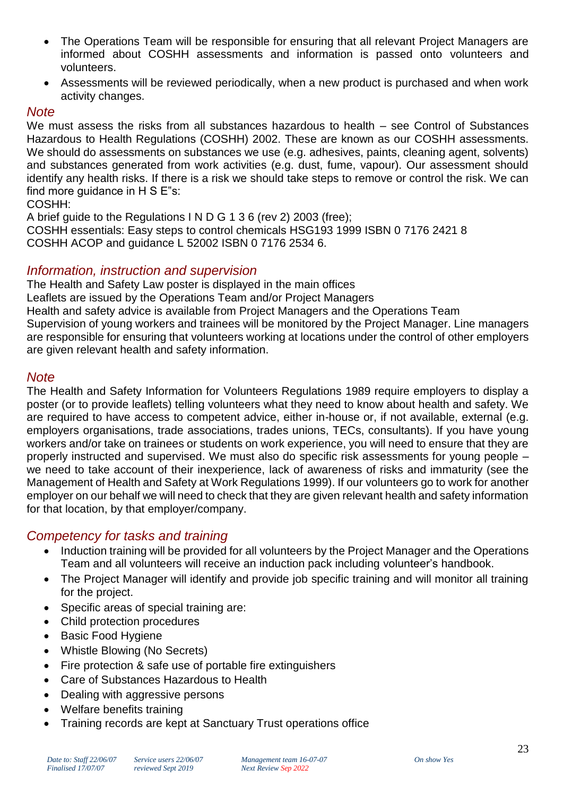- The Operations Team will be responsible for ensuring that all relevant Project Managers are informed about COSHH assessments and information is passed onto volunteers and volunteers.
- Assessments will be reviewed periodically, when a new product is purchased and when work activity changes.

#### *Note*

We must assess the risks from all substances hazardous to health – see Control of Substances Hazardous to Health Regulations (COSHH) 2002. These are known as our COSHH assessments. We should do assessments on substances we use (e.g. adhesives, paints, cleaning agent, solvents) and substances generated from work activities (e.g. dust, fume, vapour). Our assessment should identify any health risks. If there is a risk we should take steps to remove or control the risk. We can find more guidance in H S E"s:

#### COSHH:

A brief guide to the Regulations I N D G 1 3 6 (rev 2) 2003 (free); COSHH essentials: Easy steps to control chemicals HSG193 1999 ISBN 0 7176 2421 8 COSHH ACOP and guidance L 52002 ISBN 0 7176 2534 6.

#### *Information, instruction and supervision*

The Health and Safety Law poster is displayed in the main offices Leaflets are issued by the Operations Team and/or Project Managers Health and safety advice is available from Project Managers and the Operations Team Supervision of young workers and trainees will be monitored by the Project Manager. Line managers are responsible for ensuring that volunteers working at locations under the control of other employers are given relevant health and safety information.

#### *Note*

The Health and Safety Information for Volunteers Regulations 1989 require employers to display a poster (or to provide leaflets) telling volunteers what they need to know about health and safety. We are required to have access to competent advice, either in-house or, if not available, external (e.g. employers organisations, trade associations, trades unions, TECs, consultants). If you have young workers and/or take on trainees or students on work experience, you will need to ensure that they are properly instructed and supervised. We must also do specific risk assessments for young people – we need to take account of their inexperience, lack of awareness of risks and immaturity (see the Management of Health and Safety at Work Regulations 1999). If our volunteers go to work for another employer on our behalf we will need to check that they are given relevant health and safety information for that location, by that employer/company.

# *Competency for tasks and training*

- Induction training will be provided for all volunteers by the Project Manager and the Operations Team and all volunteers will receive an induction pack including volunteer's handbook.
- The Project Manager will identify and provide job specific training and will monitor all training for the project.
- Specific areas of special training are:
- Child protection procedures
- Basic Food Hygiene
- Whistle Blowing (No Secrets)
- Fire protection & safe use of portable fire extinguishers
- Care of Substances Hazardous to Health
- Dealing with aggressive persons
- Welfare benefits training
- Training records are kept at Sanctuary Trust operations office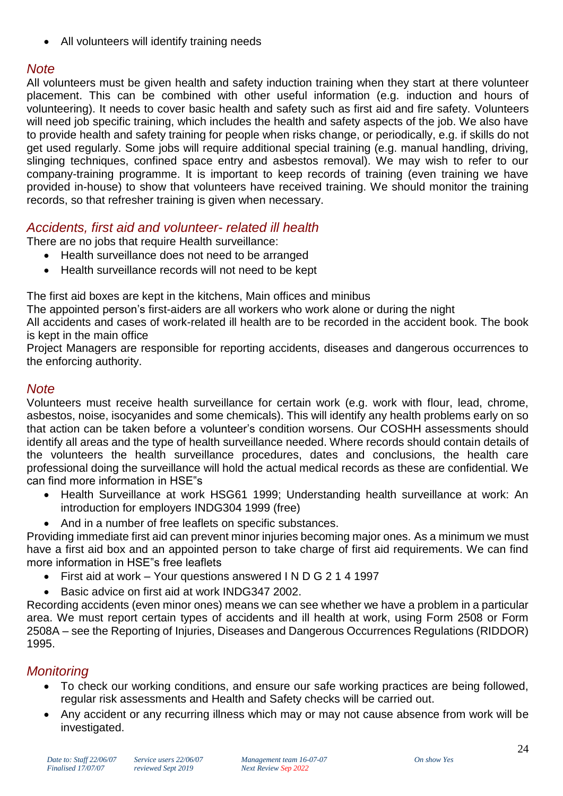All volunteers will identify training needs

# *Note*

All volunteers must be given health and safety induction training when they start at there volunteer placement. This can be combined with other useful information (e.g. induction and hours of volunteering). It needs to cover basic health and safety such as first aid and fire safety. Volunteers will need job specific training, which includes the health and safety aspects of the job. We also have to provide health and safety training for people when risks change, or periodically, e.g. if skills do not get used regularly. Some jobs will require additional special training (e.g. manual handling, driving, slinging techniques, confined space entry and asbestos removal). We may wish to refer to our company-training programme. It is important to keep records of training (even training we have provided in-house) to show that volunteers have received training. We should monitor the training records, so that refresher training is given when necessary.

# *Accidents, first aid and volunteer- related ill health*

There are no jobs that require Health surveillance:

- Health surveillance does not need to be arranged
- Health surveillance records will not need to be kept

The first aid boxes are kept in the kitchens, Main offices and minibus

The appointed person's first-aiders are all workers who work alone or during the night

All accidents and cases of work-related ill health are to be recorded in the accident book. The book is kept in the main office

Project Managers are responsible for reporting accidents, diseases and dangerous occurrences to the enforcing authority.

# *Note*

Volunteers must receive health surveillance for certain work (e.g. work with flour, lead, chrome, asbestos, noise, isocyanides and some chemicals). This will identify any health problems early on so that action can be taken before a volunteer's condition worsens. Our COSHH assessments should identify all areas and the type of health surveillance needed. Where records should contain details of the volunteers the health surveillance procedures, dates and conclusions, the health care professional doing the surveillance will hold the actual medical records as these are confidential. We can find more information in HSE"s

- Health Surveillance at work HSG61 1999; Understanding health surveillance at work: An introduction for employers INDG304 1999 (free)
- And in a number of free leaflets on specific substances.

Providing immediate first aid can prevent minor injuries becoming major ones. As a minimum we must have a first aid box and an appointed person to take charge of first aid requirements. We can find more information in HSE"s free leaflets

- First aid at work Your questions answered I N D G 2 1 4 1997
- Basic advice on first aid at work INDG347 2002.

Recording accidents (even minor ones) means we can see whether we have a problem in a particular area. We must report certain types of accidents and ill health at work, using Form 2508 or Form 2508A – see the Reporting of Injuries, Diseases and Dangerous Occurrences Regulations (RIDDOR) 1995.

# *Monitoring*

- To check our working conditions, and ensure our safe working practices are being followed, regular risk assessments and Health and Safety checks will be carried out.
- Any accident or any recurring illness which may or may not cause absence from work will be investigated.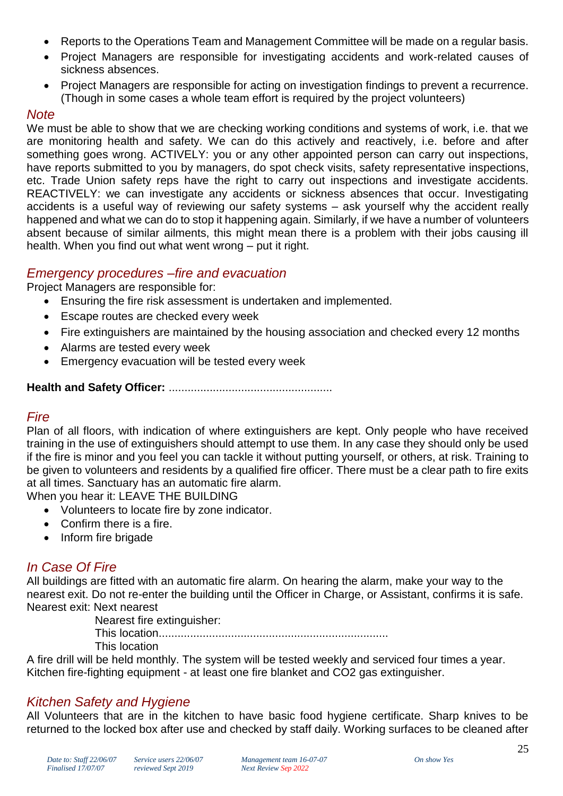- Reports to the Operations Team and Management Committee will be made on a regular basis.
- Project Managers are responsible for investigating accidents and work-related causes of sickness absences.
- Project Managers are responsible for acting on investigation findings to prevent a recurrence. (Though in some cases a whole team effort is required by the project volunteers)

#### *Note*

We must be able to show that we are checking working conditions and systems of work, i.e. that we are monitoring health and safety. We can do this actively and reactively, i.e. before and after something goes wrong. ACTIVELY: you or any other appointed person can carry out inspections, have reports submitted to you by managers, do spot check visits, safety representative inspections, etc. Trade Union safety reps have the right to carry out inspections and investigate accidents. REACTIVELY: we can investigate any accidents or sickness absences that occur. Investigating accidents is a useful way of reviewing our safety systems – ask yourself why the accident really happened and what we can do to stop it happening again. Similarly, if we have a number of volunteers absent because of similar ailments, this might mean there is a problem with their jobs causing ill health. When you find out what went wrong – put it right.

# *Emergency procedures –fire and evacuation*

Project Managers are responsible for:

- Ensuring the fire risk assessment is undertaken and implemented.
- **Escape routes are checked every week**
- Fire extinguishers are maintained by the housing association and checked every 12 months
- Alarms are tested every week
- Emergency evacuation will be tested every week

#### **Health and Safety Officer:** ....................................................

# *Fire*

Plan of all floors, with indication of where extinguishers are kept. Only people who have received training in the use of extinguishers should attempt to use them. In any case they should only be used if the fire is minor and you feel you can tackle it without putting yourself, or others, at risk. Training to be given to volunteers and residents by a qualified fire officer. There must be a clear path to fire exits at all times. Sanctuary has an automatic fire alarm.

When you hear it: LEAVE THE BUILDING

- Volunteers to locate fire by zone indicator.
- Confirm there is a fire.
- Inform fire brigade

# *In Case Of Fire*

All buildings are fitted with an automatic fire alarm. On hearing the alarm, make your way to the nearest exit. Do not re-enter the building until the Officer in Charge, or Assistant, confirms it is safe. Nearest exit: Next nearest

Nearest fire extinguisher:

This location......................................................................... This location

A fire drill will be held monthly. The system will be tested weekly and serviced four times a year. Kitchen fire-fighting equipment - at least one fire blanket and CO2 gas extinguisher.

# *Kitchen Safety and Hygiene*

All Volunteers that are in the kitchen to have basic food hygiene certificate. Sharp knives to be returned to the locked box after use and checked by staff daily. Working surfaces to be cleaned after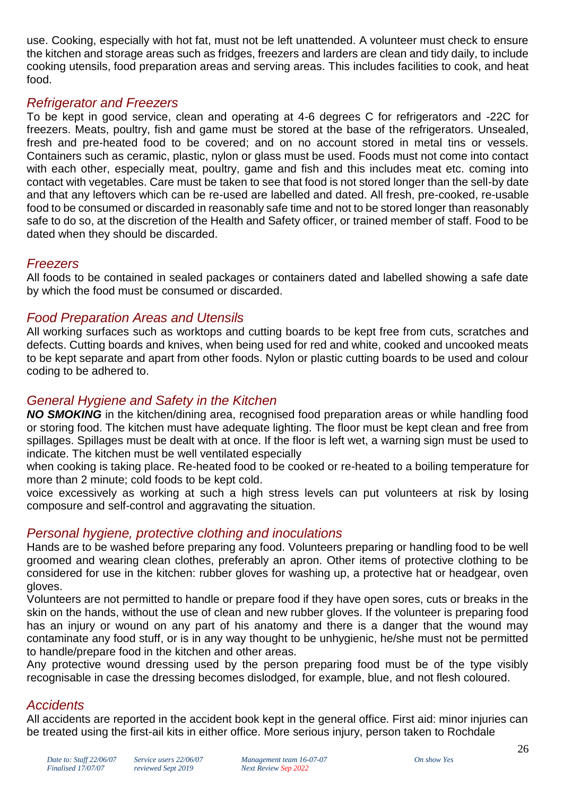use. Cooking, especially with hot fat, must not be left unattended. A volunteer must check to ensure the kitchen and storage areas such as fridges, freezers and larders are clean and tidy daily, to include cooking utensils, food preparation areas and serving areas. This includes facilities to cook, and heat food.

# *Refrigerator and Freezers*

To be kept in good service, clean and operating at 4-6 degrees C for refrigerators and -22C for freezers. Meats, poultry, fish and game must be stored at the base of the refrigerators. Unsealed, fresh and pre-heated food to be covered; and on no account stored in metal tins or vessels. Containers such as ceramic, plastic, nylon or glass must be used. Foods must not come into contact with each other, especially meat, poultry, game and fish and this includes meat etc. coming into contact with vegetables. Care must be taken to see that food is not stored longer than the sell-by date and that any leftovers which can be re-used are labelled and dated. All fresh, pre-cooked, re-usable food to be consumed or discarded in reasonably safe time and not to be stored longer than reasonably safe to do so, at the discretion of the Health and Safety officer, or trained member of staff. Food to be dated when they should be discarded.

# *Freezers*

All foods to be contained in sealed packages or containers dated and labelled showing a safe date by which the food must be consumed or discarded.

# *Food Preparation Areas and Utensils*

All working surfaces such as worktops and cutting boards to be kept free from cuts, scratches and defects. Cutting boards and knives, when being used for red and white, cooked and uncooked meats to be kept separate and apart from other foods. Nylon or plastic cutting boards to be used and colour coding to be adhered to.

# *General Hygiene and Safety in the Kitchen*

*NO SMOKING* in the kitchen/dining area, recognised food preparation areas or while handling food or storing food. The kitchen must have adequate lighting. The floor must be kept clean and free from spillages. Spillages must be dealt with at once. If the floor is left wet, a warning sign must be used to indicate. The kitchen must be well ventilated especially

when cooking is taking place. Re-heated food to be cooked or re-heated to a boiling temperature for more than 2 minute; cold foods to be kept cold.

voice excessively as working at such a high stress levels can put volunteers at risk by losing composure and self-control and aggravating the situation.

# *Personal hygiene, protective clothing and inoculations*

Hands are to be washed before preparing any food. Volunteers preparing or handling food to be well groomed and wearing clean clothes, preferably an apron. Other items of protective clothing to be considered for use in the kitchen: rubber gloves for washing up, a protective hat or headgear, oven gloves.

Volunteers are not permitted to handle or prepare food if they have open sores, cuts or breaks in the skin on the hands, without the use of clean and new rubber gloves. If the volunteer is preparing food has an injury or wound on any part of his anatomy and there is a danger that the wound may contaminate any food stuff, or is in any way thought to be unhygienic, he/she must not be permitted to handle/prepare food in the kitchen and other areas.

Any protective wound dressing used by the person preparing food must be of the type visibly recognisable in case the dressing becomes dislodged, for example, blue, and not flesh coloured.

# *Accidents*

All accidents are reported in the accident book kept in the general office. First aid: minor injuries can be treated using the first-ail kits in either office. More serious injury, person taken to Rochdale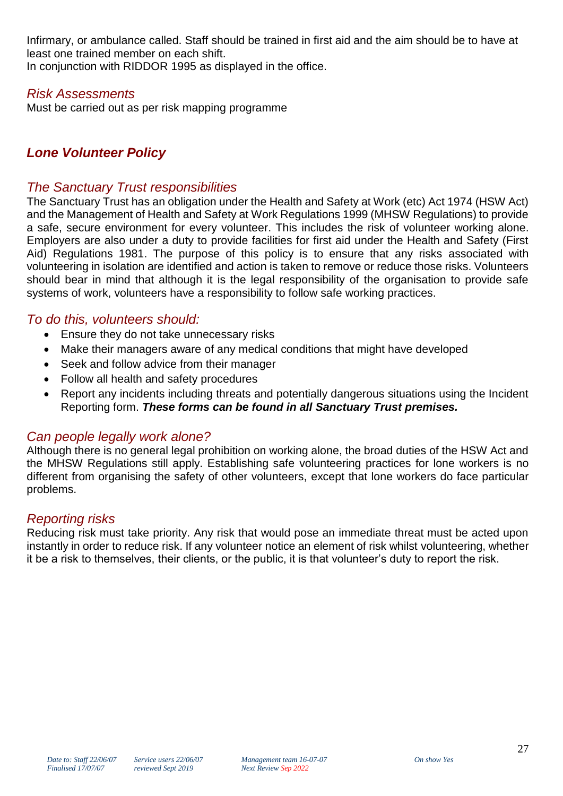Infirmary, or ambulance called. Staff should be trained in first aid and the aim should be to have at least one trained member on each shift.

In conjunction with RIDDOR 1995 as displayed in the office.

# *Risk Assessments*

Must be carried out as per risk mapping programme

# *Lone Volunteer Policy*

#### *The Sanctuary Trust responsibilities*

The Sanctuary Trust has an obligation under the Health and Safety at Work (etc) Act 1974 (HSW Act) and the Management of Health and Safety at Work Regulations 1999 (MHSW Regulations) to provide a safe, secure environment for every volunteer. This includes the risk of volunteer working alone. Employers are also under a duty to provide facilities for first aid under the Health and Safety (First Aid) Regulations 1981. The purpose of this policy is to ensure that any risks associated with volunteering in isolation are identified and action is taken to remove or reduce those risks. Volunteers should bear in mind that although it is the legal responsibility of the organisation to provide safe systems of work, volunteers have a responsibility to follow safe working practices.

# *To do this, volunteers should:*

- Ensure they do not take unnecessary risks
- Make their managers aware of any medical conditions that might have developed
- Seek and follow advice from their manager
- Follow all health and safety procedures
- Report any incidents including threats and potentially dangerous situations using the Incident Reporting form. *These forms can be found in all Sanctuary Trust premises.*

# *Can people legally work alone?*

Although there is no general legal prohibition on working alone, the broad duties of the HSW Act and the MHSW Regulations still apply. Establishing safe volunteering practices for lone workers is no different from organising the safety of other volunteers, except that lone workers do face particular problems.

# *Reporting risks*

Reducing risk must take priority. Any risk that would pose an immediate threat must be acted upon instantly in order to reduce risk. If any volunteer notice an element of risk whilst volunteering, whether it be a risk to themselves, their clients, or the public, it is that volunteer's duty to report the risk.